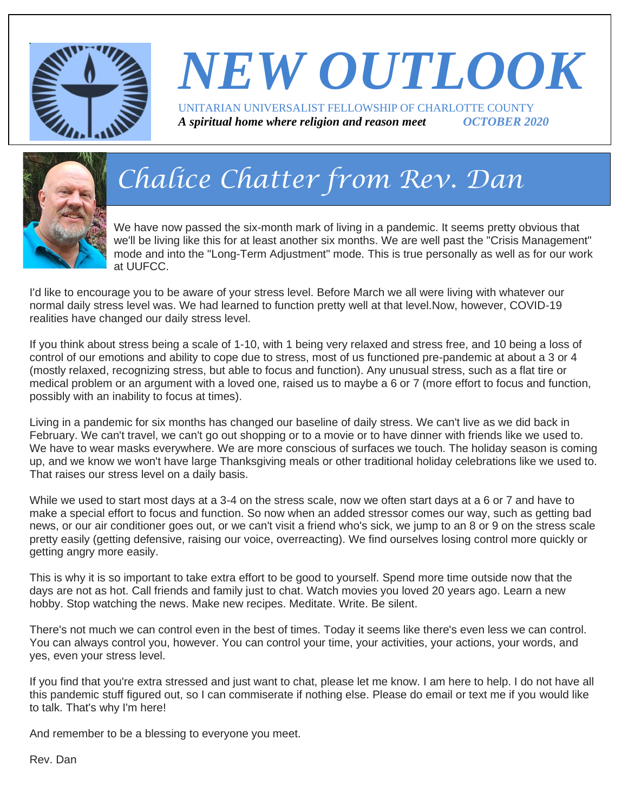

# *NEW OUTLOOK* UNITARIAN UNIVERSALIST FELLOWSHIP OF CHARLOTTE COUNTY

*A spiritual home where religion and reason meet OCTOBER 2020*



# *Chalice Chatter from Rev. Dan*

We have now passed the six-month mark of living in a pandemic. It seems pretty obvious that we'll be living like this for at least another six months. We are well past the "Crisis Management" mode and into the "Long-Term Adjustment" mode. This is true personally as well as for our work at UUFCC.

I'd like to encourage you to be aware of your stress level. Before March we all were living with whatever our normal daily stress level was. We had learned to function pretty well at that level.Now, however, COVID-19 realities have changed our daily stress level.

If you think about stress being a scale of 1-10, with 1 being very relaxed and stress free, and 10 being a loss of control of our emotions and ability to cope due to stress, most of us functioned pre-pandemic at about a 3 or 4 (mostly relaxed, recognizing stress, but able to focus and function). Any unusual stress, such as a flat tire or medical problem or an argument with a loved one, raised us to maybe a 6 or 7 (more effort to focus and function, possibly with an inability to focus at times).

Living in a pandemic for six months has changed our baseline of daily stress. We can't live as we did back in February. We can't travel, we can't go out shopping or to a movie or to have dinner with friends like we used to. We have to wear masks everywhere. We are more conscious of surfaces we touch. The holiday season is coming up, and we know we won't have large Thanksgiving meals or other traditional holiday celebrations like we used to. That raises our stress level on a daily basis.

While we used to start most days at a 3-4 on the stress scale, now we often start days at a 6 or 7 and have to make a special effort to focus and function. So now when an added stressor comes our way, such as getting bad news, or our air conditioner goes out, or we can't visit a friend who's sick, we jump to an 8 or 9 on the stress scale pretty easily (getting defensive, raising our voice, overreacting). We find ourselves losing control more quickly or getting angry more easily.

This is why it is so important to take extra effort to be good to yourself. Spend more time outside now that the days are not as hot. Call friends and family just to chat. Watch movies you loved 20 years ago. Learn a new hobby. Stop watching the news. Make new recipes. Meditate. Write. Be silent.

There's not much we can control even in the best of times. Today it seems like there's even less we can control. You can always control you, however. You can control your time, your activities, your actions, your words, and yes, even your stress level.

If you find that you're extra stressed and just want to chat, please let me know. I am here to help. I do not have all this pandemic stuff figured out, so I can commiserate if nothing else. Please do email or text me if you would like to talk. That's why I'm here!

And remember to be a blessing to everyone you meet.

Rev. Dan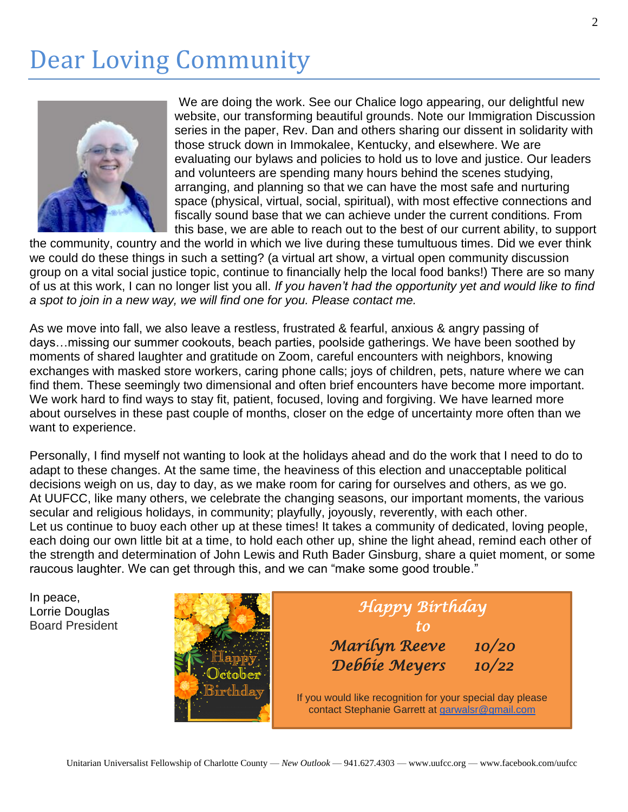## Dear Loving Community



We are doing the work. See our Chalice logo appearing, our delightful new website, our transforming beautiful grounds. Note our Immigration Discussion series in the paper, Rev. Dan and others sharing our dissent in solidarity with those struck down in Immokalee, Kentucky, and elsewhere. We are evaluating our bylaws and policies to hold us to love and justice. Our leaders and volunteers are spending many hours behind the scenes studying, arranging, and planning so that we can have the most safe and nurturing space (physical, virtual, social, spiritual), with most effective connections and fiscally sound base that we can achieve under the current conditions. From this base, we are able to reach out to the best of our current ability, to support

the community, country and the world in which we live during these tumultuous times. Did we ever think we could do these things in such a setting? (a virtual art show, a virtual open community discussion group on a vital social justice topic, continue to financially help the local food banks!) There are so many of us at this work, I can no longer list you all. *If you haven't had the opportunity yet and would like to find a spot to join in a new way, we will find one for you. Please contact me.*

As we move into fall, we also leave a restless, frustrated & fearful, anxious & angry passing of days…missing our summer cookouts, beach parties, poolside gatherings. We have been soothed by moments of shared laughter and gratitude on Zoom, careful encounters with neighbors, knowing exchanges with masked store workers, caring phone calls; joys of children, pets, nature where we can find them. These seemingly two dimensional and often brief encounters have become more important. We work hard to find ways to stay fit, patient, focused, loving and forgiving. We have learned more about ourselves in these past couple of months, closer on the edge of uncertainty more often than we want to experience.

Personally, I find myself not wanting to look at the holidays ahead and do the work that I need to do to adapt to these changes. At the same time, the heaviness of this election and unacceptable political decisions weigh on us, day to day, as we make room for caring for ourselves and others, as we go. At UUFCC, like many others, we celebrate the changing seasons, our important moments, the various secular and religious holidays, in community; playfully, joyously, reverently, with each other. Let us continue to buoy each other up at these times! It takes a community of dedicated, loving people, each doing our own little bit at a time, to hold each other up, shine the light ahead, remind each other of the strength and determination of John Lewis and Ruth Bader Ginsburg, share a quiet moment, or some raucous laughter. We can get through this, and we can "make some good trouble."

In peace, Lorrie Douglas Board President

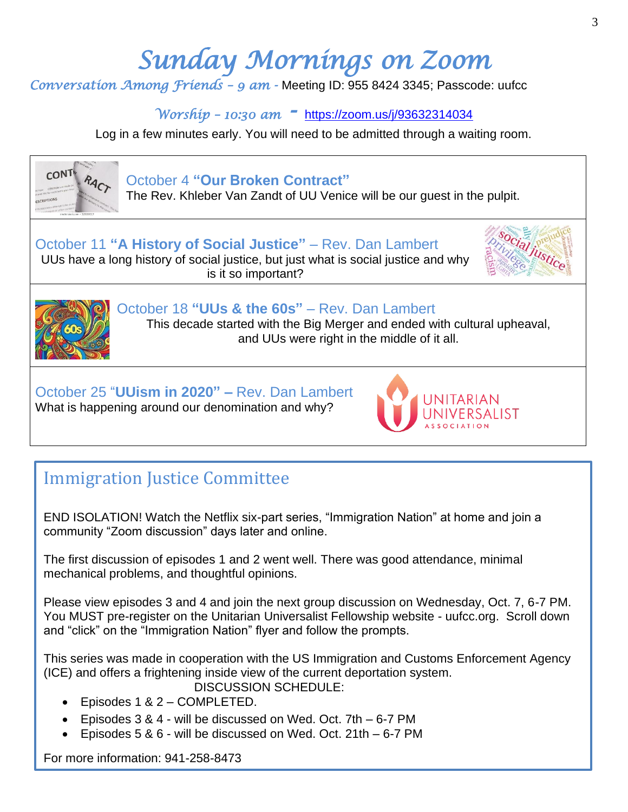# *Sunday Mornings on Zoom*

*Conversation Among Friends – 9 am -* Meeting ID: 955 8424 3345; Passcode: uufcc

*Worship – 10:30 am -* <https://zoom.us/j/93632314034>

Log in a few minutes early. You will need to be admitted through a waiting room.



What is happening around our denomination and why?

### Immigration Justice Committee

END ISOLATION! Watch the Netflix six-part series, "Immigration Nation" at home and join a community "Zoom discussion" days later and online.

The first discussion of episodes 1 and 2 went well. There was good attendance, minimal mechanical problems, and thoughtful opinions.

Please view episodes 3 and 4 and join the next group discussion on Wednesday, Oct. 7, 6-7 PM. You MUST pre-register on the Unitarian Universalist Fellowship website - uufcc.org. Scroll down and "click" on the "Immigration Nation" flyer and follow the prompts.

This series was made in cooperation with the US Immigration and Customs Enforcement Agency (ICE) and offers a frightening inside view of the current deportation system. DISCUSSION SCHEDULE:

- Episodes 1 & 2 COMPLETED.
- Episodes 3 & 4 will be discussed on Wed. Oct. 7th 6-7 PM
- Episodes 5 & 6 will be discussed on Wed. Oct. 21th 6-7 PM

For more information: 941-258-8473 **Exercise Exercise Additional Additional Additional Additional Additional Additional Additional Additional Additional Additional Additional Additional Additional Additional Additional Add** 

**VERSALIST**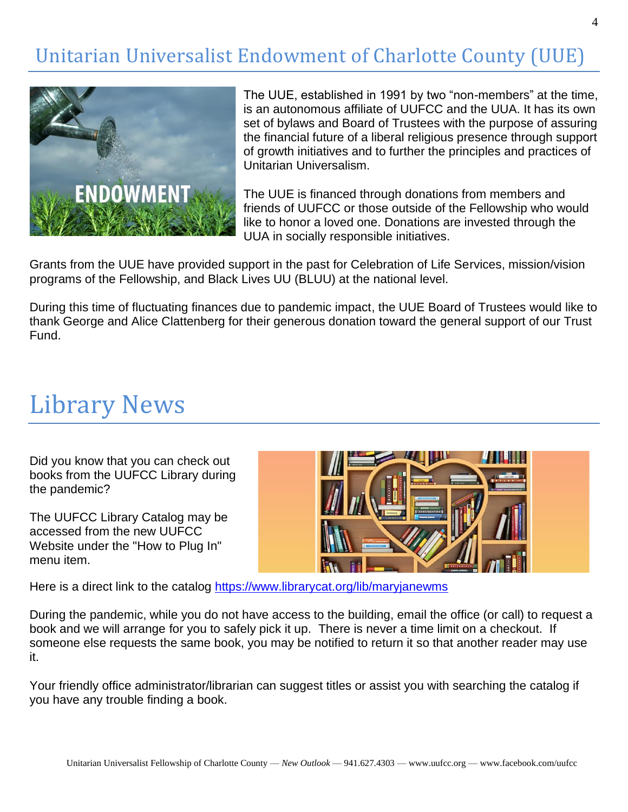### Unitarian Universalist Endowment of Charlotte County (UUE)



The UUE, established in 1991 by two "non-members" at the time, is an autonomous affiliate of UUFCC and the UUA. It has its own set of bylaws and Board of Trustees with the purpose of assuring the financial future of a liberal religious presence through support of growth initiatives and to further the principles and practices of Unitarian Universalism.

The UUE is financed through donations from members and friends of UUFCC or those outside of the Fellowship who would like to honor a loved one. Donations are invested through the UUA in socially responsible initiatives.

Grants from the UUE have provided support in the past for Celebration of Life Services, mission/vision programs of the Fellowship, and Black Lives UU (BLUU) at the national level.

During this time of fluctuating finances due to pandemic impact, the UUE Board of Trustees would like to thank George and Alice Clattenberg for their generous donation toward the general support of our Trust Fund.

## Library News

Did you know that you can check out books from the UUFCC Library during the pandemic?

The UUFCC Library Catalog may be accessed from the new UUFCC Website under the "How to Plug In" menu item.



Here is a direct link to the catalog [https://www.librarycat.org/lib/maryjanewms](http://r20.rs6.net/tn.jsp?f=001h2QlB7h-nwrR2C8xNPBR0iF3GM7gnoxp4YlFwqj8qafuJylrTturc8GYzZ_Th1t3jbJK8Nm8W_KHJ-fJI-lHJX99mJkwxJPzEQRBGfNcbkwp7crLhkpYaazALExRx40VkBTuzY5Ag7ZTWDHCS2wWvYe096FlEaY_FKmmKUUXdXwfVry8mnsRsAH35uyU3ZKdS5-fYD5vrGs=&c=UoEJc8l65SsgVOKD25LLnTlAJcXZiXxGlBaoy9qi1MeZ1pnMNO58kw==&ch=rcMQ0oTTCT16urjJiCDTj8qw7wGNjsZ5GDScsvna9_XHoklODGwwyA==)

During the pandemic, while you do not have access to the building, email the office (or call) to request a book and we will arrange for you to safely pick it up. There is never a time limit on a checkout. If someone else requests the same book, you may be notified to return it so that another reader may use it.

Your friendly office administrator/librarian can suggest titles or assist you with searching the catalog if you have any trouble finding a book.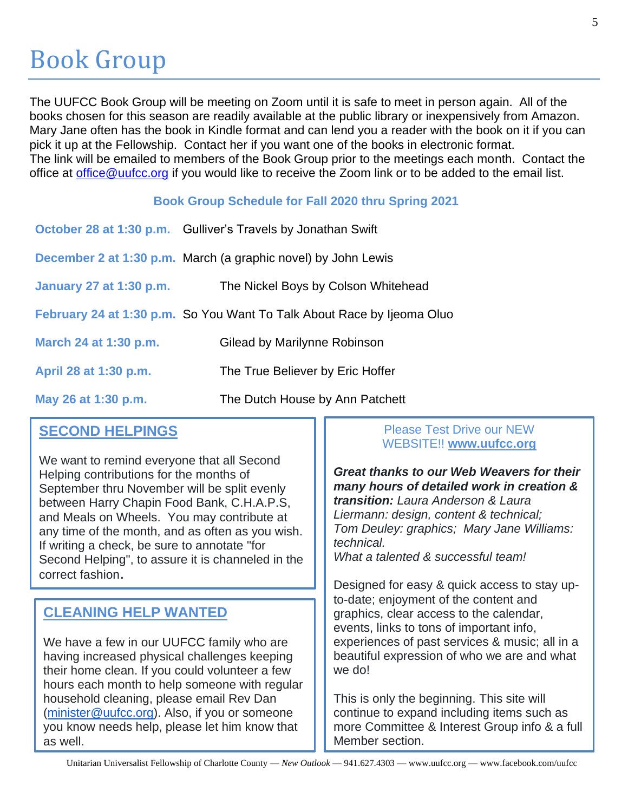The UUFCC Book Group will be meeting on Zoom until it is safe to meet in person again. All of the books chosen for this season are readily available at the public library or inexpensively from Amazon. Mary Jane often has the book in Kindle format and can lend you a reader with the book on it if you can pick it up at the Fellowship. Contact her if you want one of the books in electronic format. The link will be emailed to members of the Book Group prior to the meetings each month. Contact the office at [office@uufcc.org](mailto:office@uufcc.org) if you would like to receive the Zoom link or to be added to the email list.

#### **Book Group Schedule for Fall 2020 thru Spring 2021**

|                         | October 28 at 1:30 p.m. Gulliver's Travels by Jonathan Swift           |
|-------------------------|------------------------------------------------------------------------|
|                         | December 2 at 1:30 p.m. March (a graphic novel) by John Lewis          |
| January 27 at 1:30 p.m. | The Nickel Boys by Colson Whitehead                                    |
|                         | February 24 at 1:30 p.m. So You Want To Talk About Race by Ijeoma Oluo |
| March 24 at 1:30 p.m.   | Gilead by Marilynne Robinson                                           |
| April 28 at 1:30 p.m.   | The True Believer by Eric Hoffer                                       |
| May 26 at 1:30 p.m.     | The Dutch House by Ann Patchett                                        |

#### **SECOND HELPINGS**

We want to remind everyone that all Second Helping contributions for the months of September thru November will be split evenly between Harry Chapin Food Bank, C.H.A.P.S, and Meals on Wheels. You may contribute at any time of the month, and as often as you wish. If writing a check, be sure to annotate "for Second Helping", to assure it is channeled in the correct fashion.

#### **CLEANING HELP WANTED**

We have a few in our UUFCC family who are having increased physical challenges keeping their home clean. If you could volunteer a few hours each month to help someone with regular household cleaning, please email Rev Dan [\(minister@uufcc.org\)](mailto:minister@uufcc.org). Also, if you or someone you know needs help, please let him know that as well.

#### Please Test Drive our NEW WEBSITE!! **[www.uufcc.org](http://r20.rs6.net/tn.jsp?f=001h2QlB7h-nwrR2C8xNPBR0iF3GM7gnoxp4YlFwqj8qafuJylrTturczWcovV5Tdo-QqfzHa7hTbj6wu2fCj07OuiuBvGQjd8vGYlhgIvX-DNtZNjXwc4RN4hFQwXbqviiITQgF0Qg0bJ6z1mRfIzDZDNSLpAwSvQ8YddqH_onBF0=&c=UoEJc8l65SsgVOKD25LLnTlAJcXZiXxGlBaoy9qi1MeZ1pnMNO58kw==&ch=rcMQ0oTTCT16urjJiCDTj8qw7wGNjsZ5GDScsvna9_XHoklODGwwyA==)**

*Great thanks to our Web Weavers for their many hours of detailed work in creation & transition: Laura Anderson & Laura Liermann: design, content & technical; Tom Deuley: graphics; Mary Jane Williams: technical.*

*What a talented & successful team!*

Designed for easy & quick access to stay upto-date; enjoyment of the content and graphics, clear access to the calendar, events, links to tons of important info, experiences of past services & music; all in a beautiful expression of who we are and what we do!

This is only the beginning. This site will continue to expand including items such as more Committee & Interest Group info & a full Member section.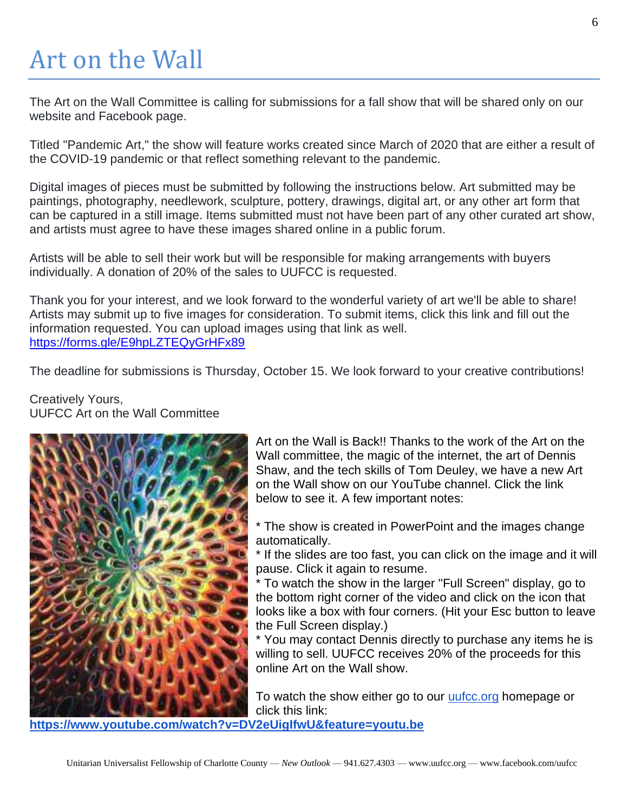# Art on the Wall

The Art on the Wall Committee is calling for submissions for a fall show that will be shared only on our website and Facebook page.

Titled "Pandemic Art," the show will feature works created since March of 2020 that are either a result of the COVID-19 pandemic or that reflect something relevant to the pandemic.

Digital images of pieces must be submitted by following the instructions below. Art submitted may be paintings, photography, needlework, sculpture, pottery, drawings, digital art, or any other art form that can be captured in a still image. Items submitted must not have been part of any other curated art show, and artists must agree to have these images shared online in a public forum.

Artists will be able to sell their work but will be responsible for making arrangements with buyers individually. A donation of 20% of the sales to UUFCC is requested.

Thank you for your interest, and we look forward to the wonderful variety of art we'll be able to share! Artists may submit up to five images for consideration. To submit items, click this link and fill out the information requested. You can upload images using that link as well. <https://forms.gle/E9hpLZTEQyGrHFx89>

The deadline for submissions is Thursday, October 15. We look forward to your creative contributions!

Creatively Yours, UUFCC Art on the Wall Committee



Art on the Wall is Back!! Thanks to the work of the Art on the Wall committee, the magic of the internet, the art of Dennis Shaw, and the tech skills of Tom Deuley, we have a new Art on the Wall show on our YouTube channel. Click the link below to see it. A few important notes:

\* The show is created in PowerPoint and the images change automatically.

\* If the slides are too fast, you can click on the image and it will pause. Click it again to resume.

\* To watch the show in the larger "Full Screen" display, go to the bottom right corner of the video and click on the icon that looks like a box with four corners. (Hit your Esc button to leave the Full Screen display.)

\* You may contact Dennis directly to purchase any items he is willing to sell. UUFCC receives 20% of the proceeds for this online Art on the Wall show.

To watch the show either go to our [uufcc.org](http://uufcc.org/) homepage or click this link:

**[https://www.youtube.com/watch?v=DV2eUigIfwU&feature=youtu.be](http://r20.rs6.net/tn.jsp?f=001h2QlB7h-nwrR2C8xNPBR0iF3GM7gnoxp4YlFwqj8qafuJylrTturc1Pjva1JFnaXmVqIz1xZcOR5qT6TJEK9x-bHNjAo2Zg52rSD2sRR_mA-JIhoFYc0kJxVSxuzulwsdYPKmWE0FYAUGOzUOlN0CtdPFPOGmoPp0Remo4LYJySS7P6y60I-hhnxKn4BTzsPn9l6ZJ2V88e5C5KFsio39AcFYiYXT-qhxQGKSU6RfYrPNjYbRKT56RMZx7hAEyEEW0ZflpxdXyqvLLq4LLUDSdUSz2PjRYXyJW9E8F2KIj-dNPKeBox1AvtxfS_n_yiwc_VS7l5yBoY=&c=UoEJc8l65SsgVOKD25LLnTlAJcXZiXxGlBaoy9qi1MeZ1pnMNO58kw==&ch=rcMQ0oTTCT16urjJiCDTj8qw7wGNjsZ5GDScsvna9_XHoklODGwwyA==)**